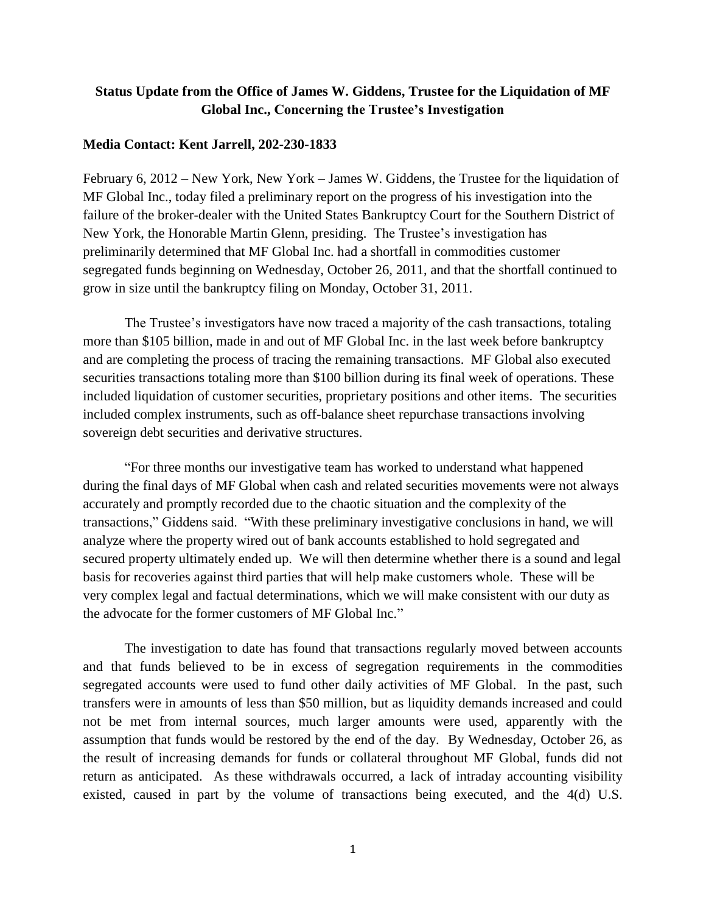## **Status Update from the Office of James W. Giddens, Trustee for the Liquidation of MF Global Inc., Concerning the Trustee's Investigation**

## **Media Contact: Kent Jarrell, 202-230-1833**

February 6, 2012 – New York, New York – James W. Giddens, the Trustee for the liquidation of MF Global Inc., today filed a preliminary report on the progress of his investigation into the failure of the broker-dealer with the United States Bankruptcy Court for the Southern District of New York, the Honorable Martin Glenn, presiding. The Trustee's investigation has preliminarily determined that MF Global Inc. had a shortfall in commodities customer segregated funds beginning on Wednesday, October 26, 2011, and that the shortfall continued to grow in size until the bankruptcy filing on Monday, October 31, 2011.

The Trustee's investigators have now traced a majority of the cash transactions, totaling more than \$105 billion, made in and out of MF Global Inc. in the last week before bankruptcy and are completing the process of tracing the remaining transactions. MF Global also executed securities transactions totaling more than \$100 billion during its final week of operations. These included liquidation of customer securities, proprietary positions and other items. The securities included complex instruments, such as off-balance sheet repurchase transactions involving sovereign debt securities and derivative structures.

"For three months our investigative team has worked to understand what happened during the final days of MF Global when cash and related securities movements were not always accurately and promptly recorded due to the chaotic situation and the complexity of the transactions," Giddens said. "With these preliminary investigative conclusions in hand, we will analyze where the property wired out of bank accounts established to hold segregated and secured property ultimately ended up. We will then determine whether there is a sound and legal basis for recoveries against third parties that will help make customers whole. These will be very complex legal and factual determinations, which we will make consistent with our duty as the advocate for the former customers of MF Global Inc."

The investigation to date has found that transactions regularly moved between accounts and that funds believed to be in excess of segregation requirements in the commodities segregated accounts were used to fund other daily activities of MF Global. In the past, such transfers were in amounts of less than \$50 million, but as liquidity demands increased and could not be met from internal sources, much larger amounts were used, apparently with the assumption that funds would be restored by the end of the day. By Wednesday, October 26, as the result of increasing demands for funds or collateral throughout MF Global, funds did not return as anticipated. As these withdrawals occurred, a lack of intraday accounting visibility existed, caused in part by the volume of transactions being executed, and the 4(d) U.S.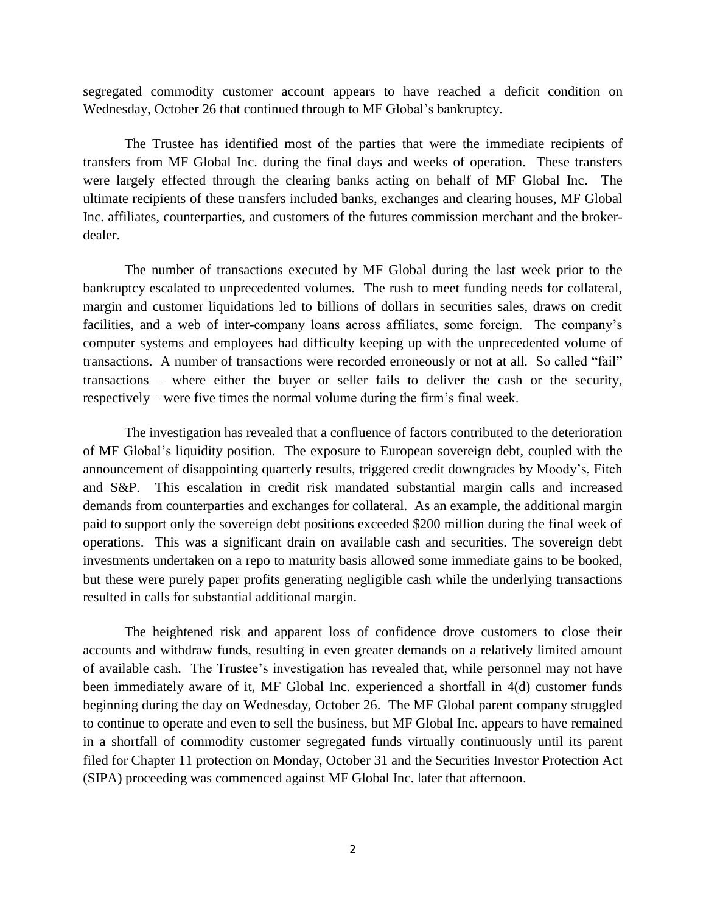segregated commodity customer account appears to have reached a deficit condition on Wednesday, October 26 that continued through to MF Global's bankruptcy.

The Trustee has identified most of the parties that were the immediate recipients of transfers from MF Global Inc. during the final days and weeks of operation. These transfers were largely effected through the clearing banks acting on behalf of MF Global Inc. The ultimate recipients of these transfers included banks, exchanges and clearing houses, MF Global Inc. affiliates, counterparties, and customers of the futures commission merchant and the brokerdealer.

The number of transactions executed by MF Global during the last week prior to the bankruptcy escalated to unprecedented volumes. The rush to meet funding needs for collateral, margin and customer liquidations led to billions of dollars in securities sales, draws on credit facilities, and a web of inter-company loans across affiliates, some foreign. The company's computer systems and employees had difficulty keeping up with the unprecedented volume of transactions. A number of transactions were recorded erroneously or not at all. So called "fail" transactions – where either the buyer or seller fails to deliver the cash or the security, respectively – were five times the normal volume during the firm's final week.

The investigation has revealed that a confluence of factors contributed to the deterioration of MF Global's liquidity position. The exposure to European sovereign debt, coupled with the announcement of disappointing quarterly results, triggered credit downgrades by Moody's, Fitch and S&P. This escalation in credit risk mandated substantial margin calls and increased demands from counterparties and exchanges for collateral. As an example, the additional margin paid to support only the sovereign debt positions exceeded \$200 million during the final week of operations. This was a significant drain on available cash and securities. The sovereign debt investments undertaken on a repo to maturity basis allowed some immediate gains to be booked, but these were purely paper profits generating negligible cash while the underlying transactions resulted in calls for substantial additional margin.

The heightened risk and apparent loss of confidence drove customers to close their accounts and withdraw funds, resulting in even greater demands on a relatively limited amount of available cash. The Trustee's investigation has revealed that, while personnel may not have been immediately aware of it, MF Global Inc. experienced a shortfall in 4(d) customer funds beginning during the day on Wednesday, October 26. The MF Global parent company struggled to continue to operate and even to sell the business, but MF Global Inc. appears to have remained in a shortfall of commodity customer segregated funds virtually continuously until its parent filed for Chapter 11 protection on Monday, October 31 and the Securities Investor Protection Act (SIPA) proceeding was commenced against MF Global Inc. later that afternoon.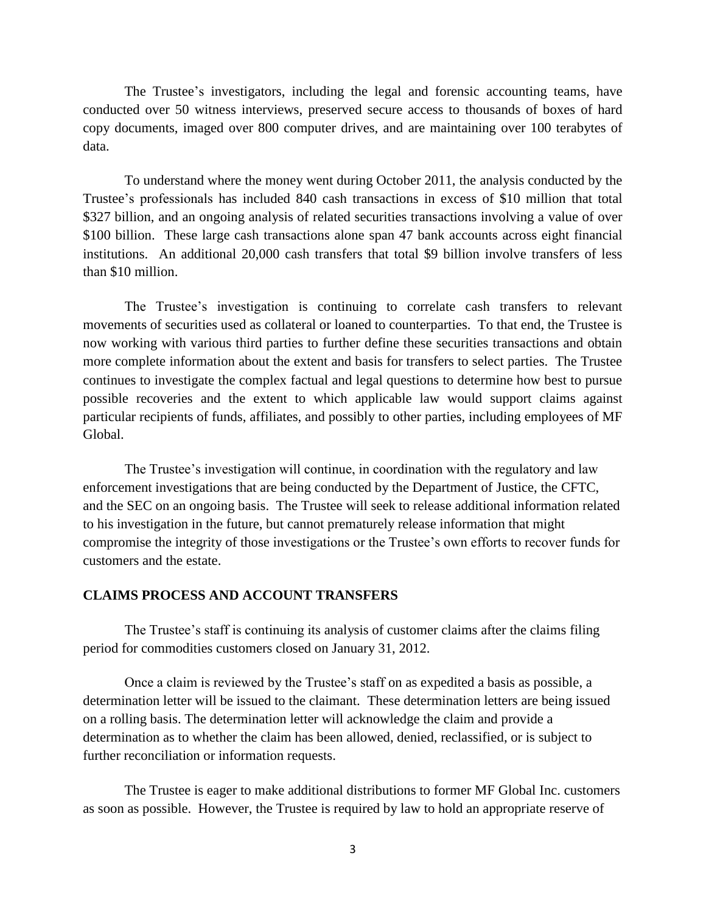The Trustee's investigators, including the legal and forensic accounting teams, have conducted over 50 witness interviews, preserved secure access to thousands of boxes of hard copy documents, imaged over 800 computer drives, and are maintaining over 100 terabytes of data.

To understand where the money went during October 2011, the analysis conducted by the Trustee's professionals has included 840 cash transactions in excess of \$10 million that total \$327 billion, and an ongoing analysis of related securities transactions involving a value of over \$100 billion. These large cash transactions alone span 47 bank accounts across eight financial institutions. An additional 20,000 cash transfers that total \$9 billion involve transfers of less than \$10 million.

The Trustee's investigation is continuing to correlate cash transfers to relevant movements of securities used as collateral or loaned to counterparties. To that end, the Trustee is now working with various third parties to further define these securities transactions and obtain more complete information about the extent and basis for transfers to select parties. The Trustee continues to investigate the complex factual and legal questions to determine how best to pursue possible recoveries and the extent to which applicable law would support claims against particular recipients of funds, affiliates, and possibly to other parties, including employees of MF Global.

The Trustee's investigation will continue, in coordination with the regulatory and law enforcement investigations that are being conducted by the Department of Justice, the CFTC, and the SEC on an ongoing basis. The Trustee will seek to release additional information related to his investigation in the future, but cannot prematurely release information that might compromise the integrity of those investigations or the Trustee's own efforts to recover funds for customers and the estate.

## **CLAIMS PROCESS AND ACCOUNT TRANSFERS**

The Trustee's staff is continuing its analysis of customer claims after the claims filing period for commodities customers closed on January 31, 2012.

Once a claim is reviewed by the Trustee's staff on as expedited a basis as possible, a determination letter will be issued to the claimant. These determination letters are being issued on a rolling basis. The determination letter will acknowledge the claim and provide a determination as to whether the claim has been allowed, denied, reclassified, or is subject to further reconciliation or information requests.

The Trustee is eager to make additional distributions to former MF Global Inc. customers as soon as possible. However, the Trustee is required by law to hold an appropriate reserve of